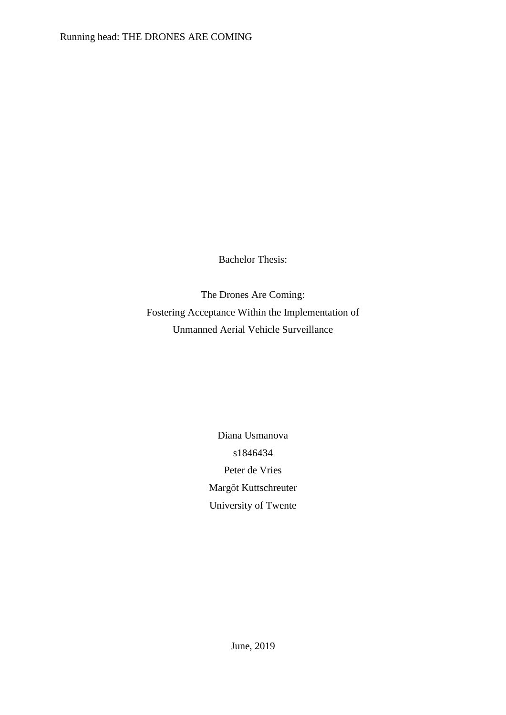Bachelor Thesis:

The Drones Are Coming: Fostering Acceptance Within the Implementation of Unmanned Aerial Vehicle Surveillance

> Diana Usmanova s1846434 Peter de Vries Margôt Kuttschreuter University of Twente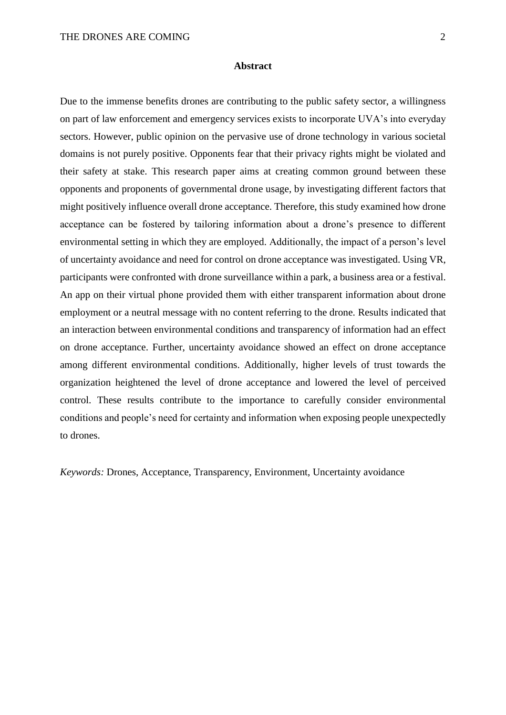#### **Abstract**

Due to the immense benefits drones are contributing to the public safety sector, a willingness on part of law enforcement and emergency services exists to incorporate UVA's into everyday sectors. However, public opinion on the pervasive use of drone technology in various societal domains is not purely positive. Opponents fear that their privacy rights might be violated and their safety at stake. This research paper aims at creating common ground between these opponents and proponents of governmental drone usage, by investigating different factors that might positively influence overall drone acceptance. Therefore, this study examined how drone acceptance can be fostered by tailoring information about a drone's presence to different environmental setting in which they are employed. Additionally, the impact of a person's level of uncertainty avoidance and need for control on drone acceptance was investigated. Using VR, participants were confronted with drone surveillance within a park, a business area or a festival. An app on their virtual phone provided them with either transparent information about drone employment or a neutral message with no content referring to the drone. Results indicated that an interaction between environmental conditions and transparency of information had an effect on drone acceptance. Further, uncertainty avoidance showed an effect on drone acceptance among different environmental conditions. Additionally, higher levels of trust towards the organization heightened the level of drone acceptance and lowered the level of perceived control. These results contribute to the importance to carefully consider environmental conditions and people's need for certainty and information when exposing people unexpectedly to drones.

*Keywords:* Drones, Acceptance, Transparency, Environment, Uncertainty avoidance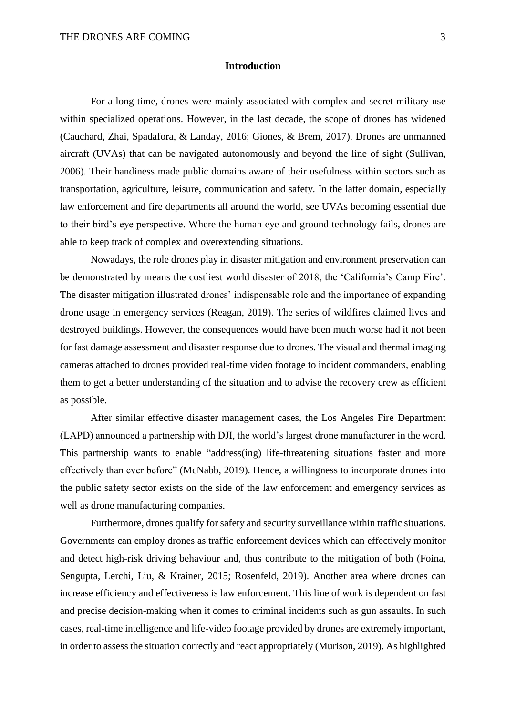# **Introduction**

For a long time, drones were mainly associated with complex and secret military use within specialized operations. However, in the last decade, the scope of drones has widened (Cauchard, Zhai, Spadafora, & Landay, 2016; Giones, & Brem, 2017). Drones are unmanned aircraft (UVAs) that can be navigated autonomously and beyond the line of sight (Sullivan, 2006). Their handiness made public domains aware of their usefulness within sectors such as transportation, agriculture, leisure, communication and safety. In the latter domain, especially law enforcement and fire departments all around the world, see UVAs becoming essential due to their bird's eye perspective. Where the human eye and ground technology fails, drones are able to keep track of complex and overextending situations.

Nowadays, the role drones play in disaster mitigation and environment preservation can be demonstrated by means the costliest world disaster of 2018, the 'California's Camp Fire'. The disaster mitigation illustrated drones' indispensable role and the importance of expanding drone usage in emergency services (Reagan, 2019). The series of wildfires claimed lives and destroyed buildings. However, the consequences would have been much worse had it not been for fast damage assessment and disaster response due to drones. The visual and thermal imaging cameras attached to drones provided real-time video footage to incident commanders, enabling them to get a better understanding of the situation and to advise the recovery crew as efficient as possible.

After similar effective disaster management cases, the Los Angeles Fire Department (LAPD) announced a partnership with DJI, the world's largest drone manufacturer in the word. This partnership wants to enable "address(ing) life-threatening situations faster and more effectively than ever before" (McNabb, 2019). Hence, a willingness to incorporate drones into the public safety sector exists on the side of the law enforcement and emergency services as well as drone manufacturing companies.

Furthermore, drones qualify for safety and security surveillance within traffic situations. Governments can employ drones as traffic enforcement devices which can effectively monitor and detect high-risk driving behaviour and, thus contribute to the mitigation of both (Foina, Sengupta, Lerchi, Liu, & Krainer, 2015; Rosenfeld, 2019). Another area where drones can increase efficiency and effectiveness is law enforcement. This line of work is dependent on fast and precise decision-making when it comes to criminal incidents such as gun assaults. In such cases, real-time intelligence and life-video footage provided by drones are extremely important, in order to assess the situation correctly and react appropriately (Murison, 2019). As highlighted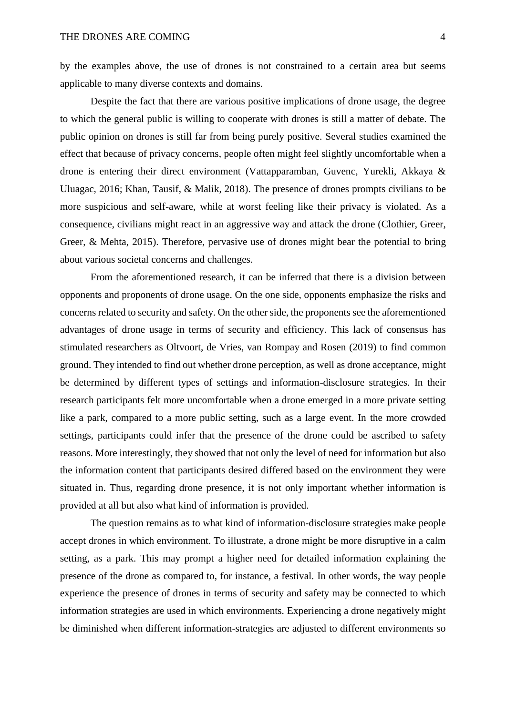by the examples above, the use of drones is not constrained to a certain area but seems applicable to many diverse contexts and domains.

Despite the fact that there are various positive implications of drone usage, the degree to which the general public is willing to cooperate with drones is still a matter of debate. The public opinion on drones is still far from being purely positive. Several studies examined the effect that because of privacy concerns, people often might feel slightly uncomfortable when a drone is entering their direct environment (Vattapparamban, Guvenc, Yurekli, Akkaya & Uluagac, 2016; Khan, Tausif, & Malik, 2018). The presence of drones prompts civilians to be more suspicious and self-aware, while at worst feeling like their privacy is violated. As a consequence, civilians might react in an aggressive way and attack the drone (Clothier, Greer, Greer, & Mehta, 2015). Therefore, pervasive use of drones might bear the potential to bring about various societal concerns and challenges.

From the aforementioned research, it can be inferred that there is a division between opponents and proponents of drone usage. On the one side, opponents emphasize the risks and concerns related to security and safety. On the other side, the proponents see the aforementioned advantages of drone usage in terms of security and efficiency. This lack of consensus has stimulated researchers as Oltvoort, de Vries, van Rompay and Rosen (2019) to find common ground. They intended to find out whether drone perception, as well as drone acceptance, might be determined by different types of settings and information-disclosure strategies. In their research participants felt more uncomfortable when a drone emerged in a more private setting like a park, compared to a more public setting, such as a large event. In the more crowded settings, participants could infer that the presence of the drone could be ascribed to safety reasons. More interestingly, they showed that not only the level of need for information but also the information content that participants desired differed based on the environment they were situated in. Thus, regarding drone presence, it is not only important whether information is provided at all but also what kind of information is provided.

The question remains as to what kind of information-disclosure strategies make people accept drones in which environment. To illustrate, a drone might be more disruptive in a calm setting, as a park. This may prompt a higher need for detailed information explaining the presence of the drone as compared to, for instance, a festival. In other words, the way people experience the presence of drones in terms of security and safety may be connected to which information strategies are used in which environments. Experiencing a drone negatively might be diminished when different information-strategies are adjusted to different environments so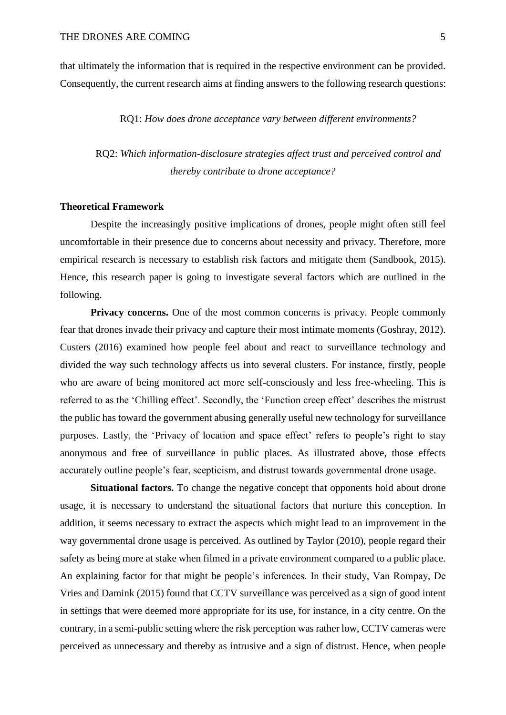that ultimately the information that is required in the respective environment can be provided. Consequently, the current research aims at finding answers to the following research questions:

RQ1: *How does drone acceptance vary between different environments?*

RQ2: *Which information-disclosure strategies affect trust and perceived control and thereby contribute to drone acceptance?*

#### **Theoretical Framework**

Despite the increasingly positive implications of drones, people might often still feel uncomfortable in their presence due to concerns about necessity and privacy. Therefore, more empirical research is necessary to establish risk factors and mitigate them (Sandbook, 2015). Hence, this research paper is going to investigate several factors which are outlined in the following.

**Privacy concerns.** One of the most common concerns is privacy. People commonly fear that drones invade their privacy and capture their most intimate moments (Goshray, 2012). Custers (2016) examined how people feel about and react to surveillance technology and divided the way such technology affects us into several clusters. For instance, firstly, people who are aware of being monitored act more self-consciously and less free-wheeling. This is referred to as the 'Chilling effect'. Secondly, the 'Function creep effect' describes the mistrust the public has toward the government abusing generally useful new technology for surveillance purposes. Lastly, the 'Privacy of location and space effect' refers to people's right to stay anonymous and free of surveillance in public places. As illustrated above, those effects accurately outline people's fear, scepticism, and distrust towards governmental drone usage.

**Situational factors.** To change the negative concept that opponents hold about drone usage, it is necessary to understand the situational factors that nurture this conception. In addition, it seems necessary to extract the aspects which might lead to an improvement in the way governmental drone usage is perceived. As outlined by Taylor (2010), people regard their safety as being more at stake when filmed in a private environment compared to a public place. An explaining factor for that might be people's inferences. In their study, Van Rompay, De Vries and Damink (2015) found that CCTV surveillance was perceived as a sign of good intent in settings that were deemed more appropriate for its use, for instance, in a city centre. On the contrary, in a semi-public setting where the risk perception was rather low, CCTV cameras were perceived as unnecessary and thereby as intrusive and a sign of distrust. Hence, when people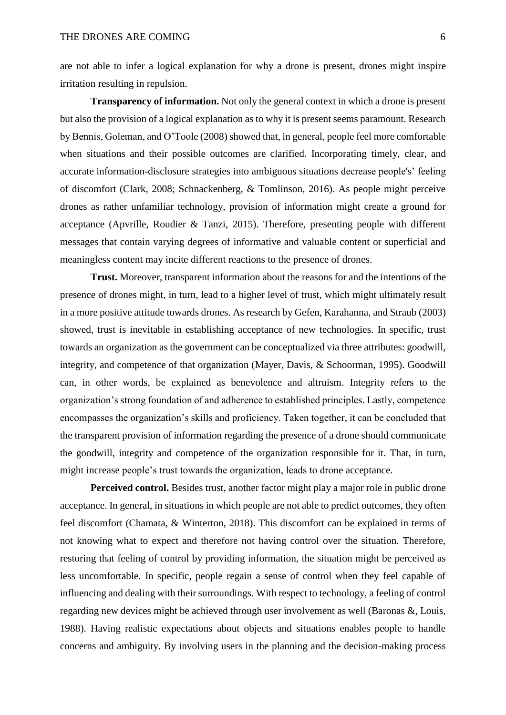are not able to infer a logical explanation for why a drone is present, drones might inspire irritation resulting in repulsion.

**Transparency of information.** Not only the general context in which a drone is present but also the provision of a logical explanation as to why it is present seems paramount. Research by Bennis, Goleman, and O'Toole (2008) showed that, in general, people feel more comfortable when situations and their possible outcomes are clarified. Incorporating timely, clear, and accurate information-disclosure strategies into ambiguous situations decrease people's' feeling of discomfort (Clark, 2008; Schnackenberg, & Tomlinson, 2016). As people might perceive drones as rather unfamiliar technology, provision of information might create a ground for acceptance (Apvrille, Roudier & Tanzi, 2015). Therefore, presenting people with different messages that contain varying degrees of informative and valuable content or superficial and meaningless content may incite different reactions to the presence of drones.

**Trust.** Moreover, transparent information about the reasons for and the intentions of the presence of drones might, in turn, lead to a higher level of trust, which might ultimately result in a more positive attitude towards drones. As research by Gefen, Karahanna, and Straub (2003) showed, trust is inevitable in establishing acceptance of new technologies. In specific, trust towards an organization as the government can be conceptualized via three attributes: goodwill, integrity, and competence of that organization (Mayer, Davis, & Schoorman, 1995). Goodwill can, in other words, be explained as benevolence and altruism. Integrity refers to the organization's strong foundation of and adherence to established principles. Lastly, competence encompasses the organization's skills and proficiency. Taken together, it can be concluded that the transparent provision of information regarding the presence of a drone should communicate the goodwill, integrity and competence of the organization responsible for it. That, in turn, might increase people's trust towards the organization, leads to drone acceptance.

**Perceived control.** Besides trust, another factor might play a major role in public drone acceptance. In general, in situations in which people are not able to predict outcomes, they often feel discomfort (Chamata, & Winterton, 2018). This discomfort can be explained in terms of not knowing what to expect and therefore not having control over the situation. Therefore, restoring that feeling of control by providing information, the situation might be perceived as less uncomfortable. In specific, people regain a sense of control when they feel capable of influencing and dealing with their surroundings. With respect to technology, a feeling of control regarding new devices might be achieved through user involvement as well (Baronas &, Louis, 1988). Having realistic expectations about objects and situations enables people to handle concerns and ambiguity. By involving users in the planning and the decision-making process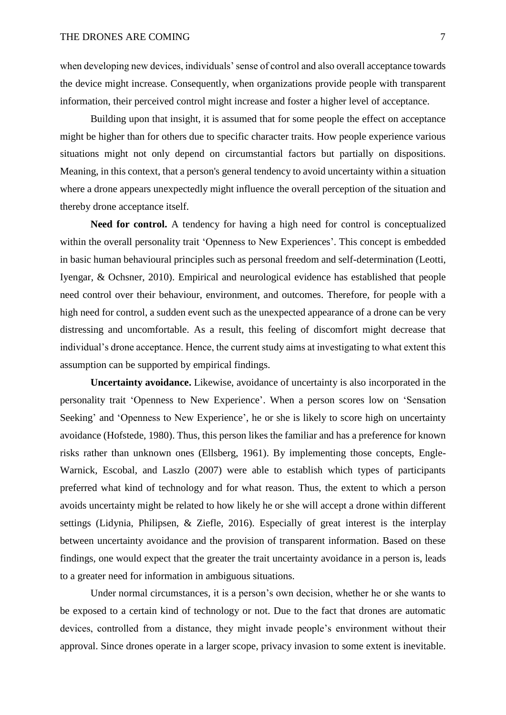when developing new devices, individuals' sense of control and also overall acceptance towards the device might increase. Consequently, when organizations provide people with transparent information, their perceived control might increase and foster a higher level of acceptance.

Building upon that insight, it is assumed that for some people the effect on acceptance might be higher than for others due to specific character traits. How people experience various situations might not only depend on circumstantial factors but partially on dispositions. Meaning, in this context, that a person's general tendency to avoid uncertainty within a situation where a drone appears unexpectedly might influence the overall perception of the situation and thereby drone acceptance itself.

**Need for control.** A tendency for having a high need for control is conceptualized within the overall personality trait 'Openness to New Experiences'. This concept is embedded in basic human behavioural principles such as personal freedom and self-determination (Leotti, Iyengar, & Ochsner, 2010). Empirical and neurological evidence has established that people need control over their behaviour, environment, and outcomes. Therefore, for people with a high need for control, a sudden event such as the unexpected appearance of a drone can be very distressing and uncomfortable. As a result, this feeling of discomfort might decrease that individual's drone acceptance. Hence, the current study aims at investigating to what extent this assumption can be supported by empirical findings.

**Uncertainty avoidance.** Likewise, avoidance of uncertainty is also incorporated in the personality trait 'Openness to New Experience'. When a person scores low on 'Sensation Seeking' and 'Openness to New Experience', he or she is likely to score high on uncertainty avoidance (Hofstede, 1980). Thus, this person likes the familiar and has a preference for known risks rather than unknown ones (Ellsberg, 1961). By implementing those concepts, Engle-Warnick, Escobal, and Laszlo (2007) were able to establish which types of participants preferred what kind of technology and for what reason. Thus, the extent to which a person avoids uncertainty might be related to how likely he or she will accept a drone within different settings (Lidynia, Philipsen, & Ziefle, 2016). Especially of great interest is the interplay between uncertainty avoidance and the provision of transparent information. Based on these findings, one would expect that the greater the trait uncertainty avoidance in a person is, leads to a greater need for information in ambiguous situations.

Under normal circumstances, it is a person's own decision, whether he or she wants to be exposed to a certain kind of technology or not. Due to the fact that drones are automatic devices, controlled from a distance, they might invade people's environment without their approval. Since drones operate in a larger scope, privacy invasion to some extent is inevitable.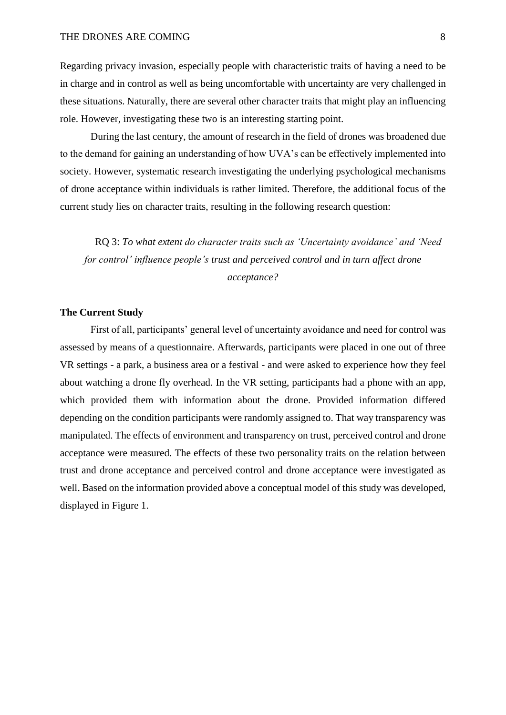Regarding privacy invasion, especially people with characteristic traits of having a need to be in charge and in control as well as being uncomfortable with uncertainty are very challenged in these situations. Naturally, there are several other character traits that might play an influencing role. However, investigating these two is an interesting starting point.

During the last century, the amount of research in the field of drones was broadened due to the demand for gaining an understanding of how UVA's can be effectively implemented into society. However, systematic research investigating the underlying psychological mechanisms of drone acceptance within individuals is rather limited. Therefore, the additional focus of the current study lies on character traits, resulting in the following research question:

RQ 3: *To what extent do character traits such as 'Uncertainty avoidance' and 'Need for control' influence people's trust and perceived control and in turn affect drone acceptance?*

# **The Current Study**

First of all, participants' general level of uncertainty avoidance and need for control was assessed by means of a questionnaire. Afterwards, participants were placed in one out of three VR settings - a park, a business area or a festival - and were asked to experience how they feel about watching a drone fly overhead. In the VR setting, participants had a phone with an app, which provided them with information about the drone. Provided information differed depending on the condition participants were randomly assigned to. That way transparency was manipulated. The effects of environment and transparency on trust, perceived control and drone acceptance were measured. The effects of these two personality traits on the relation between trust and drone acceptance and perceived control and drone acceptance were investigated as well. Based on the information provided above a conceptual model of this study was developed, displayed in Figure 1.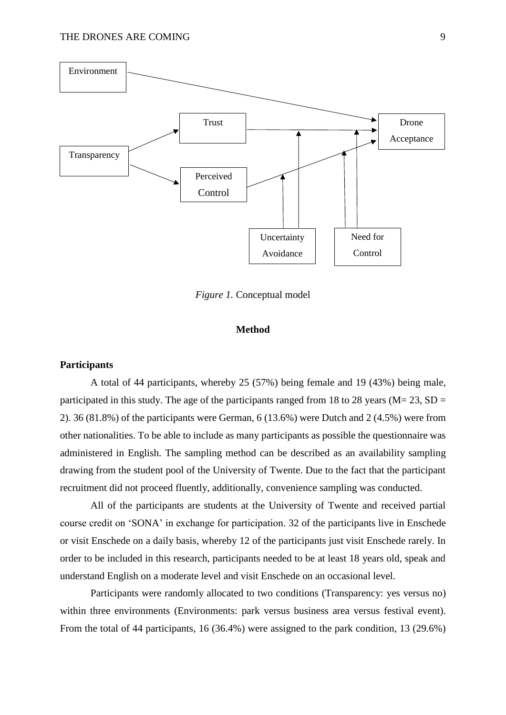

*Figure 1.* Conceptual model

# **Method**

## **Participants**

A total of 44 participants, whereby 25 (57%) being female and 19 (43%) being male, participated in this study. The age of the participants ranged from 18 to 28 years ( $M = 23$ ,  $SD =$ 2). 36 (81.8%) of the participants were German, 6 (13.6%) were Dutch and 2 (4.5%) were from other nationalities. To be able to include as many participants as possible the questionnaire was administered in English. The sampling method can be described as an availability sampling drawing from the student pool of the University of Twente. Due to the fact that the participant recruitment did not proceed fluently, additionally, convenience sampling was conducted.

All of the participants are students at the University of Twente and received partial course credit on 'SONA' in exchange for participation. 32 of the participants live in Enschede or visit Enschede on a daily basis, whereby 12 of the participants just visit Enschede rarely. In order to be included in this research, participants needed to be at least 18 years old, speak and understand English on a moderate level and visit Enschede on an occasional level.

Participants were randomly allocated to two conditions (Transparency: yes versus no) within three environments (Environments: park versus business area versus festival event). From the total of 44 participants, 16 (36.4%) were assigned to the park condition, 13 (29.6%)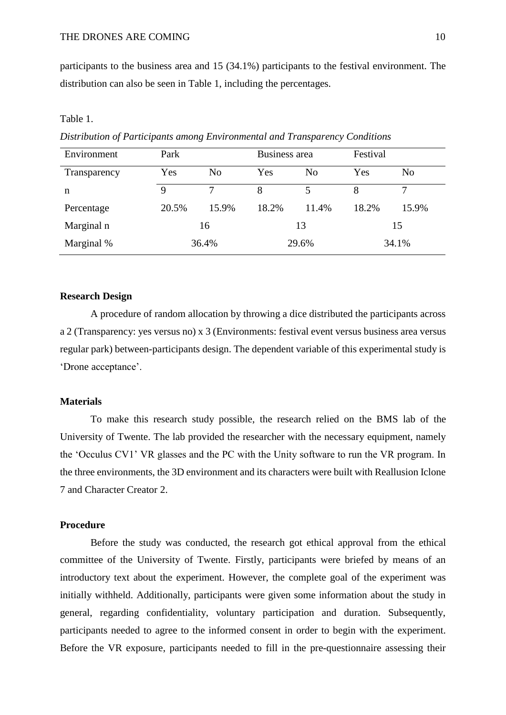participants to the business area and 15 (34.1%) participants to the festival environment. The distribution can also be seen in Table 1, including the percentages.

### Table 1.

*Distribution of Participants among Environmental and Transparency Conditions*

| Environment  | Park  |                | Business area |                | Festival |       |
|--------------|-------|----------------|---------------|----------------|----------|-------|
| Transparency | Yes   | N <sub>o</sub> | Yes           | N <sub>0</sub> | Yes      | No    |
| n            | 9     |                | 8             |                | 8        |       |
| Percentage   | 20.5% | 15.9%          | 18.2%         | 11.4%          | 18.2%    | 15.9% |
| Marginal n   | 16    |                | 13            |                | 15       |       |
| Marginal %   | 36.4% |                | 29.6%         |                | 34.1%    |       |

#### **Research Design**

A procedure of random allocation by throwing a dice distributed the participants across a 2 (Transparency: yes versus no) x 3 (Environments: festival event versus business area versus regular park) between-participants design. The dependent variable of this experimental study is 'Drone acceptance'.

### **Materials**

To make this research study possible, the research relied on the BMS lab of the University of Twente. The lab provided the researcher with the necessary equipment, namely the 'Occulus CV1' VR glasses and the PC with the Unity software to run the VR program. In the three environments, the 3D environment and its characters were built with Reallusion Iclone 7 and Character Creator 2.

# **Procedure**

Before the study was conducted, the research got ethical approval from the ethical committee of the University of Twente. Firstly, participants were briefed by means of an introductory text about the experiment. However, the complete goal of the experiment was initially withheld. Additionally, participants were given some information about the study in general, regarding confidentiality, voluntary participation and duration. Subsequently, participants needed to agree to the informed consent in order to begin with the experiment. Before the VR exposure, participants needed to fill in the pre-questionnaire assessing their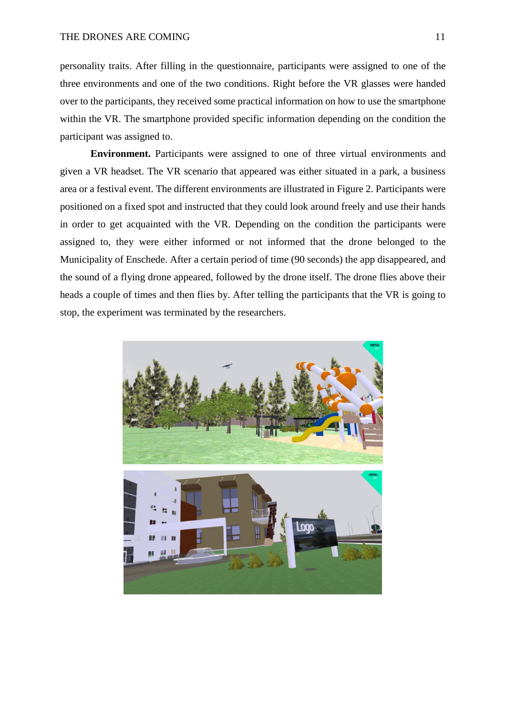personality traits. After filling in the questionnaire, participants were assigned to one of the three environments and one of the two conditions. Right before the VR glasses were handed over to the participants, they received some practical information on how to use the smartphone within the VR. The smartphone provided specific information depending on the condition the participant was assigned to.

**Environment.** Participants were assigned to one of three virtual environments and given a VR headset. The VR scenario that appeared was either situated in a park, a business area or a festival event. The different environments are illustrated in Figure 2. Participants were positioned on a fixed spot and instructed that they could look around freely and use their hands in order to get acquainted with the VR. Depending on the condition the participants were assigned to, they were either informed or not informed that the drone belonged to the Municipality of Enschede. After a certain period of time (90 seconds) the app disappeared, and the sound of a flying drone appeared, followed by the drone itself. The drone flies above their heads a couple of times and then flies by. After telling the participants that the VR is going to stop, the experiment was terminated by the researchers.

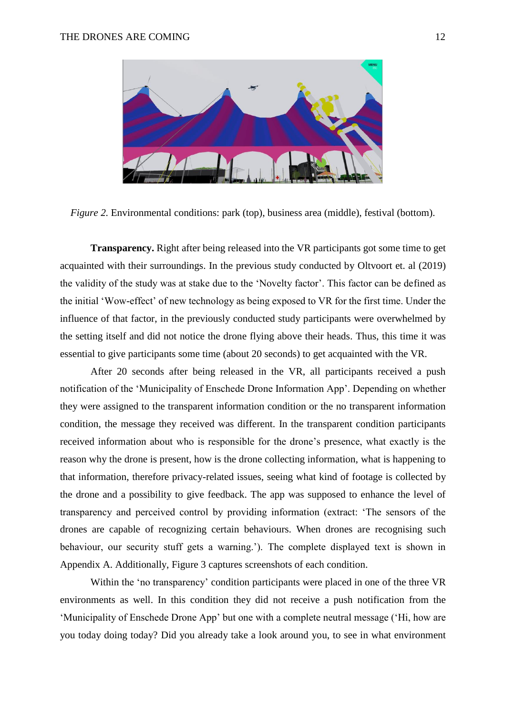

*Figure 2.* Environmental conditions: park (top), business area (middle), festival (bottom).

**Transparency.** Right after being released into the VR participants got some time to get acquainted with their surroundings. In the previous study conducted by Oltvoort et. al (2019) the validity of the study was at stake due to the 'Novelty factor'. This factor can be defined as the initial 'Wow-effect' of new technology as being exposed to VR for the first time. Under the influence of that factor, in the previously conducted study participants were overwhelmed by the setting itself and did not notice the drone flying above their heads. Thus, this time it was essential to give participants some time (about 20 seconds) to get acquainted with the VR.

After 20 seconds after being released in the VR, all participants received a push notification of the 'Municipality of Enschede Drone Information App'. Depending on whether they were assigned to the transparent information condition or the no transparent information condition, the message they received was different. In the transparent condition participants received information about who is responsible for the drone's presence, what exactly is the reason why the drone is present, how is the drone collecting information, what is happening to that information, therefore privacy-related issues, seeing what kind of footage is collected by the drone and a possibility to give feedback. The app was supposed to enhance the level of transparency and perceived control by providing information (extract: 'The sensors of the drones are capable of recognizing certain behaviours. When drones are recognising such behaviour, our security stuff gets a warning.'). The complete displayed text is shown in Appendix A. Additionally, Figure 3 captures screenshots of each condition.

Within the 'no transparency' condition participants were placed in one of the three VR environments as well. In this condition they did not receive a push notification from the 'Municipality of Enschede Drone App' but one with a complete neutral message ('Hi, how are you today doing today? Did you already take a look around you, to see in what environment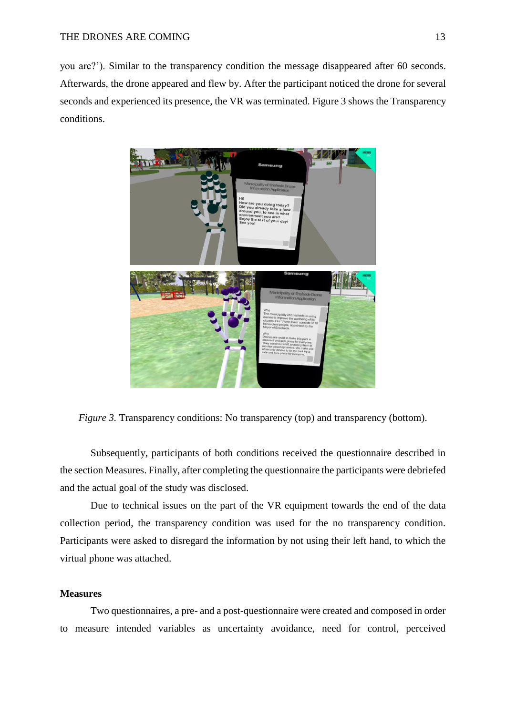you are?'). Similar to the transparency condition the message disappeared after 60 seconds. Afterwards, the drone appeared and flew by. After the participant noticed the drone for several seconds and experienced its presence, the VR was terminated. Figure 3 shows the Transparency conditions.



*Figure 3.* Transparency conditions: No transparency (top) and transparency (bottom).

Subsequently, participants of both conditions received the questionnaire described in the section Measures. Finally, after completing the questionnaire the participants were debriefed and the actual goal of the study was disclosed.

Due to technical issues on the part of the VR equipment towards the end of the data collection period, the transparency condition was used for the no transparency condition. Participants were asked to disregard the information by not using their left hand, to which the virtual phone was attached.

# **Measures**

Two questionnaires, a pre- and a post-questionnaire were created and composed in order to measure intended variables as uncertainty avoidance, need for control, perceived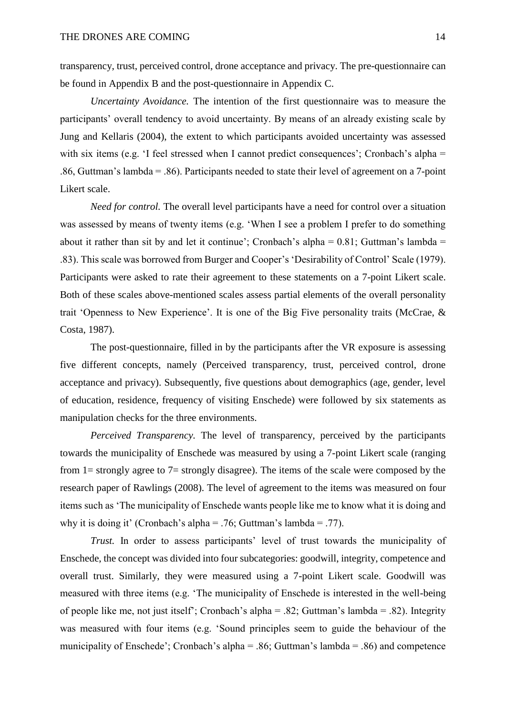transparency, trust, perceived control, drone acceptance and privacy. The pre-questionnaire can be found in Appendix B and the post-questionnaire in Appendix C.

*Uncertainty Avoidance.* The intention of the first questionnaire was to measure the participants' overall tendency to avoid uncertainty. By means of an already existing scale by Jung and Kellaris (2004), the extent to which participants avoided uncertainty was assessed with six items (e.g. 'I feel stressed when I cannot predict consequences'; Cronbach's alpha = .86, Guttman's lambda = .86). Participants needed to state their level of agreement on a 7-point Likert scale.

*Need for control.* The overall level participants have a need for control over a situation was assessed by means of twenty items (e.g. 'When I see a problem I prefer to do something about it rather than sit by and let it continue'; Cronbach's alpha =  $0.81$ ; Guttman's lambda = .83). This scale was borrowed from Burger and Cooper's 'Desirability of Control' Scale (1979). Participants were asked to rate their agreement to these statements on a 7-point Likert scale. Both of these scales above-mentioned scales assess partial elements of the overall personality trait 'Openness to New Experience'. It is one of the Big Five personality traits (McCrae, & Costa, 1987).

The post-questionnaire, filled in by the participants after the VR exposure is assessing five different concepts, namely (Perceived transparency, trust, perceived control, drone acceptance and privacy). Subsequently, five questions about demographics (age, gender, level of education, residence, frequency of visiting Enschede) were followed by six statements as manipulation checks for the three environments.

*Perceived Transparency.* The level of transparency, perceived by the participants towards the municipality of Enschede was measured by using a 7-point Likert scale (ranging from 1= strongly agree to 7= strongly disagree). The items of the scale were composed by the research paper of Rawlings (2008). The level of agreement to the items was measured on four items such as 'The municipality of Enschede wants people like me to know what it is doing and why it is doing it' (Cronbach's alpha = .76; Guttman's lambda = .77).

*Trust.* In order to assess participants' level of trust towards the municipality of Enschede, the concept was divided into four subcategories: goodwill, integrity, competence and overall trust. Similarly, they were measured using a 7-point Likert scale. Goodwill was measured with three items (e.g. 'The municipality of Enschede is interested in the well-being of people like me, not just itself'; Cronbach's alpha = .82; Guttman's lambda = .82). Integrity was measured with four items (e.g. 'Sound principles seem to guide the behaviour of the municipality of Enschede'; Cronbach's alpha = .86; Guttman's lambda = .86) and competence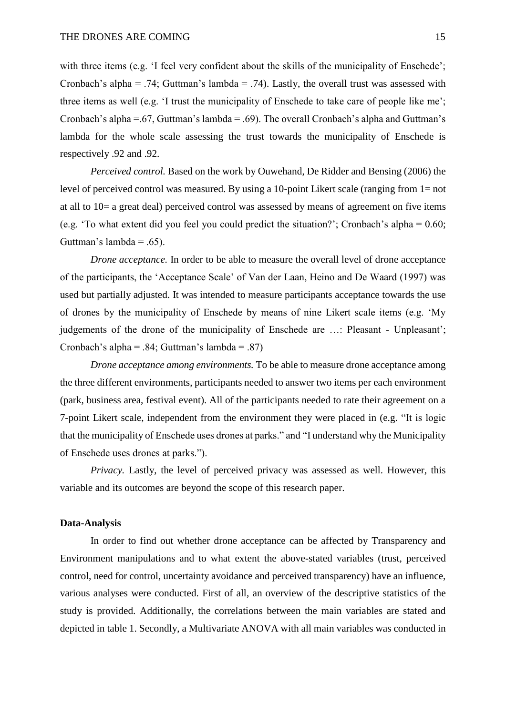with three items (e.g. 'I feel very confident about the skills of the municipality of Enschede'; Cronbach's alpha = .74; Guttman's lambda = .74). Lastly, the overall trust was assessed with three items as well (e.g. 'I trust the municipality of Enschede to take care of people like me'; Cronbach's alpha =.67, Guttman's lambda = .69). The overall Cronbach's alpha and Guttman's lambda for the whole scale assessing the trust towards the municipality of Enschede is respectively .92 and .92.

*Perceived control.* Based on the work by Ouwehand, De Ridder and Bensing (2006) the level of perceived control was measured. By using a 10-point Likert scale (ranging from 1= not at all to 10= a great deal) perceived control was assessed by means of agreement on five items (e.g. 'To what extent did you feel you could predict the situation?'; Cronbach's alpha = 0.60; Guttman's lambda =  $.65$ ).

*Drone acceptance*. In order to be able to measure the overall level of drone acceptance of the participants, the 'Acceptance Scale' of Van der Laan, Heino and De Waard (1997) was used but partially adjusted. It was intended to measure participants acceptance towards the use of drones by the municipality of Enschede by means of nine Likert scale items (e.g. 'My judgements of the drone of the municipality of Enschede are …: Pleasant - Unpleasant'; Cronbach's alpha = .84; Guttman's lambda = .87)

*Drone acceptance among environments.* To be able to measure drone acceptance among the three different environments, participants needed to answer two items per each environment (park, business area, festival event). All of the participants needed to rate their agreement on a 7-point Likert scale, independent from the environment they were placed in (e.g. "It is logic that the municipality of Enschede uses drones at parks." and "I understand why the Municipality of Enschede uses drones at parks.").

*Privacy.* Lastly, the level of perceived privacy was assessed as well. However, this variable and its outcomes are beyond the scope of this research paper.

## **Data-Analysis**

In order to find out whether drone acceptance can be affected by Transparency and Environment manipulations and to what extent the above-stated variables (trust, perceived control, need for control, uncertainty avoidance and perceived transparency) have an influence, various analyses were conducted. First of all, an overview of the descriptive statistics of the study is provided. Additionally, the correlations between the main variables are stated and depicted in table 1. Secondly, a Multivariate ANOVA with all main variables was conducted in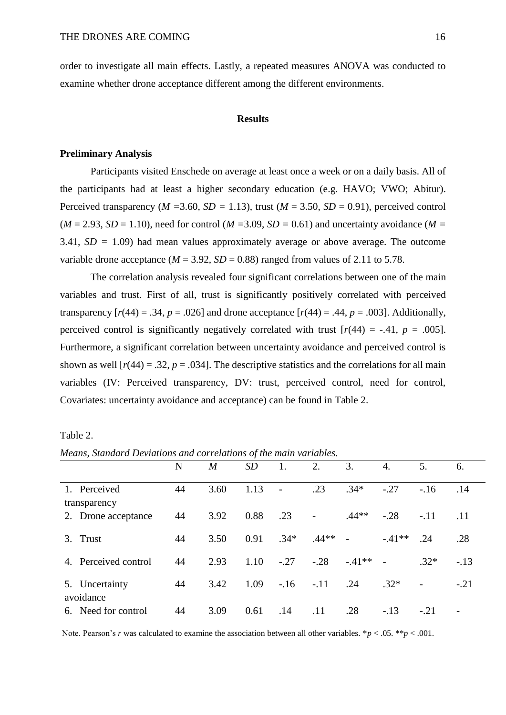order to investigate all main effects. Lastly, a repeated measures ANOVA was conducted to examine whether drone acceptance different among the different environments.

### **Results**

# **Preliminary Analysis**

Participants visited Enschede on average at least once a week or on a daily basis. All of the participants had at least a higher secondary education (e.g. HAVO; VWO; Abitur). Perceived transparency ( $M = 3.60$ ,  $SD = 1.13$ ), trust ( $M = 3.50$ ,  $SD = 0.91$ ), perceived control  $(M = 2.93, SD = 1.10)$ , need for control  $(M = 3.09, SD = 0.61)$  and uncertainty avoidance  $(M = 1.10)$ 3.41, *SD =* 1.09) had mean values approximately average or above average. The outcome variable drone acceptance ( $M = 3.92$ ,  $SD = 0.88$ ) ranged from values of 2.11 to 5.78.

The correlation analysis revealed four significant correlations between one of the main variables and trust. First of all, trust is significantly positively correlated with perceived transparency  $[r(44) = .34, p = .026]$  and drone acceptance  $[r(44) = .44, p = .003]$ . Additionally, perceived control is significantly negatively correlated with trust  $[r(44) = -.41, p = .005]$ . Furthermore, a significant correlation between uncertainty avoidance and perceived control is shown as well  $[r(44) = .32, p = .034]$ . The descriptive statistics and the correlations for all main variables (IV: Perceived transparency, DV: trust, perceived control, need for control, Covariates: uncertainty avoidance and acceptance) can be found in Table 2.

| http://www.com/communication/communication/communication/communication/ | N  | $\boldsymbol{M}$ | <b>SD</b> |        | 2.                       | 3.      | 4.      | 5.             | 6.                       |
|-------------------------------------------------------------------------|----|------------------|-----------|--------|--------------------------|---------|---------|----------------|--------------------------|
|                                                                         |    |                  |           |        |                          |         |         |                |                          |
| 1. Perceived                                                            | 44 | 3.60             | 1.13      |        | .23                      | $.34*$  | $-.27$  | $-16$          | .14                      |
| transparency                                                            |    |                  |           |        |                          |         |         |                |                          |
| 2. Drone acceptance                                                     | 44 | 3.92             | 0.88      | .23    | $\overline{\phantom{a}}$ | $.44**$ | $-.28$  | $-.11$         | .11                      |
|                                                                         |    |                  |           |        |                          |         |         |                |                          |
| Trust<br>3.                                                             | 44 | 3.50             | 0.91      | $.34*$ | $.44**$                  | $\sim$  | $-41**$ | .24            | .28                      |
| 4. Perceived control                                                    | 44 | 2.93             | 1.10      | $-.27$ | $-.28$                   | $-41**$ |         | $.32*$         | $-.13$                   |
|                                                                         |    |                  |           |        |                          |         |         |                |                          |
| 5. Uncertainty                                                          | 44 | 3.42             | 1.09      | $-16$  | $-.11$                   | .24     | $.32*$  | $\overline{a}$ | $-.21$                   |
| avoidance                                                               |    |                  |           |        |                          |         |         |                |                          |
| 6. Need for control                                                     | 44 | 3.09             | 0.61      | .14    | .11                      | .28     | $-.13$  | $-.21$         | $\overline{\phantom{a}}$ |
|                                                                         |    |                  |           |        |                          |         |         |                |                          |

Table 2.

*Means, Standard Deviations and correlations of the main variables.* 

Note. Pearson's *r* was calculated to examine the association between all other variables. \**p* < .05. \*\**p* < .001.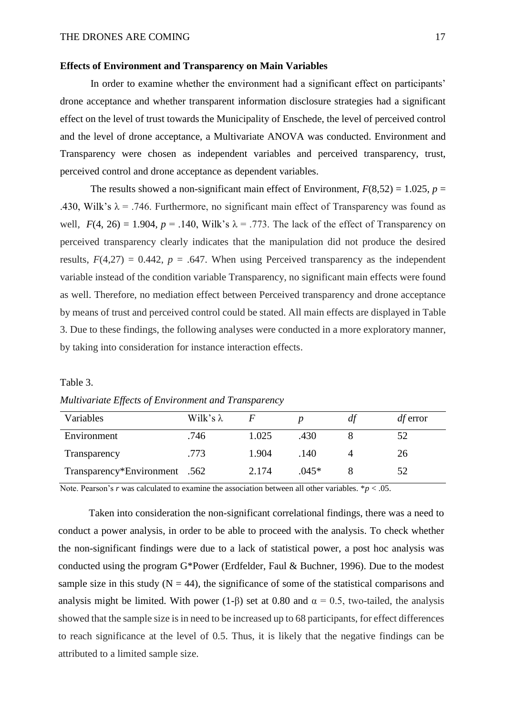#### **Effects of Environment and Transparency on Main Variables**

In order to examine whether the environment had a significant effect on participants' drone acceptance and whether transparent information disclosure strategies had a significant effect on the level of trust towards the Municipality of Enschede, the level of perceived control and the level of drone acceptance, a Multivariate ANOVA was conducted. Environment and Transparency were chosen as independent variables and perceived transparency, trust, perceived control and drone acceptance as dependent variables.

The results showed a non-significant main effect of Environment,  $F(8,52) = 1.025$ ,  $p =$ .430, Wilk's  $\lambda$  = .746. Furthermore, no significant main effect of Transparency was found as well,  $F(4, 26) = 1.904$ ,  $p = .140$ , Wilk's  $\lambda = .773$ . The lack of the effect of Transparency on perceived transparency clearly indicates that the manipulation did not produce the desired results,  $F(4,27) = 0.442$ ,  $p = .647$ . When using Perceived transparency as the independent variable instead of the condition variable Transparency, no significant main effects were found as well. Therefore, no mediation effect between Perceived transparency and drone acceptance by means of trust and perceived control could be stated. All main effects are displayed in Table 3. Due to these findings, the following analyses were conducted in a more exploratory manner, by taking into consideration for instance interaction effects.

#### Table 3.

| Multivariate Effects of Environment and Transparency |  |  |
|------------------------------------------------------|--|--|
|                                                      |  |  |

| Variables                     | Wilk's $\lambda$ |       |         | dt | $df$ error |
|-------------------------------|------------------|-------|---------|----|------------|
| Environment                   | .746             | 1.025 | .430    |    | 52         |
| Transparency                  | .773             | 1.904 | .140    |    | 26         |
| Transparency*Environment .562 |                  | 2.174 | $.045*$ |    | 52         |

Note. Pearson's *r* was calculated to examine the association between all other variables.  $* p < .05$ .

Taken into consideration the non-significant correlational findings, there was a need to conduct a power analysis, in order to be able to proceed with the analysis. To check whether the non-significant findings were due to a lack of statistical power, a post hoc analysis was conducted using the program G\*Power (Erdfelder, Faul & Buchner, 1996). Due to the modest sample size in this study  $(N = 44)$ , the significance of some of the statistical comparisons and analysis might be limited. With power (1-β) set at 0.80 and  $\alpha = 0.5$ , two-tailed, the analysis showed that the sample size is in need to be increased up to 68 participants, for effect differences to reach significance at the level of 0.5. Thus, it is likely that the negative findings can be attributed to a limited sample size.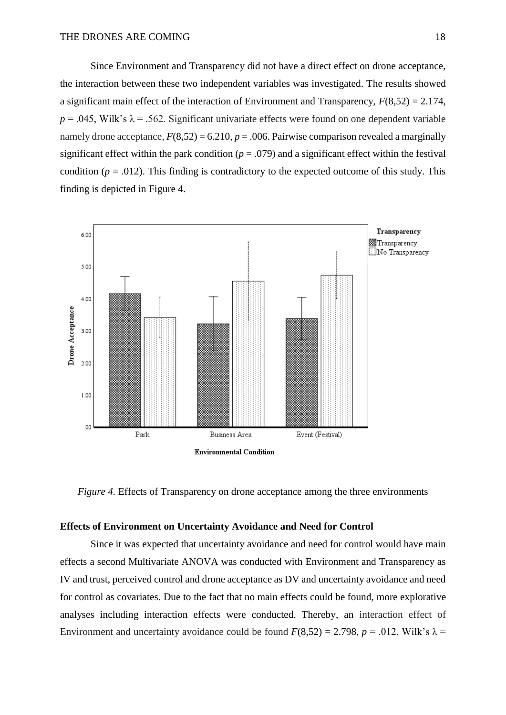Since Environment and Transparency did not have a direct effect on drone acceptance, the interaction between these two independent variables was investigated. The results showed a significant main effect of the interaction of Environment and Transparency,  $F(8,52) = 2.174$ ,  $p = 0.045$ , Wilk's  $\lambda = 0.562$ . Significant univariate effects were found on one dependent variable namely drone acceptance,  $F(8,52) = 6.210$ ,  $p = .006$ . Pairwise comparison revealed a marginally significant effect within the park condition  $(p = .079)$  and a significant effect within the festival condition ( $p = .012$ ). This finding is contradictory to the expected outcome of this study. This finding is depicted in Figure 4.



*Figure 4.* Effects of Transparency on drone acceptance among the three environments

# **Effects of Environment on Uncertainty Avoidance and Need for Control**

Since it was expected that uncertainty avoidance and need for control would have main effects a second Multivariate ANOVA was conducted with Environment and Transparency as IV and trust, perceived control and drone acceptance as DV and uncertainty avoidance and need for control as covariates. Due to the fact that no main effects could be found, more explorative analyses including interaction effects were conducted. Thereby, an interaction effect of Environment and uncertainty avoidance could be found  $F(8,52) = 2.798$ ,  $p = .012$ , Wilk's  $\lambda =$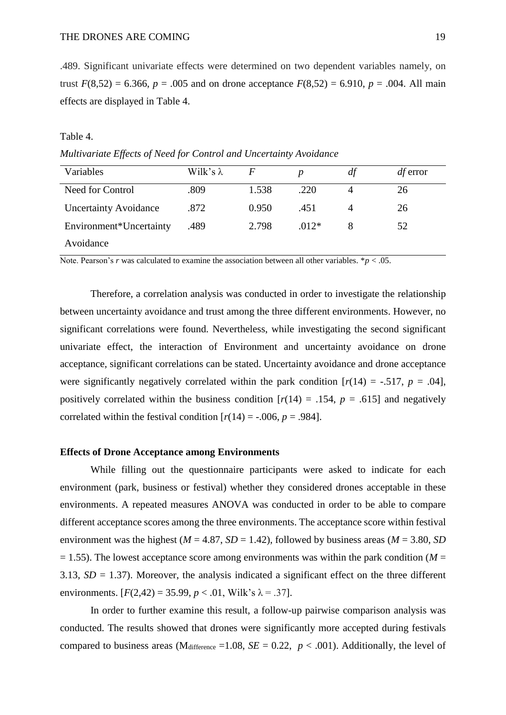.489. Significant univariate effects were determined on two dependent variables namely, on trust  $F(8,52) = 6.366$ ,  $p = .005$  and on drone acceptance  $F(8,52) = 6.910$ ,  $p = .004$ . All main effects are displayed in Table 4.

### Table 4.

*Multivariate Effects of Need for Control and Uncertainty Avoidance*

| Variables                    | Wilk's $\lambda$ | F     |         | df | $df$ error |
|------------------------------|------------------|-------|---------|----|------------|
| Need for Control             | .809             | 1.538 | .220    |    | 26         |
| <b>Uncertainty Avoidance</b> | .872             | 0.950 | .451    |    | 26         |
| Environment*Uncertainty      | .489             | 2.798 | $.012*$ |    | 52         |
| Avoidance                    |                  |       |         |    |            |

Note. Pearson's *r* was calculated to examine the association between all other variables. \**p* < .05.

Therefore, a correlation analysis was conducted in order to investigate the relationship between uncertainty avoidance and trust among the three different environments. However, no significant correlations were found. Nevertheless, while investigating the second significant univariate effect, the interaction of Environment and uncertainty avoidance on drone acceptance, significant correlations can be stated. Uncertainty avoidance and drone acceptance were significantly negatively correlated within the park condition  $[r(14) = -.517, p = .04]$ , positively correlated within the business condition  $[r(14) = .154, p = .615]$  and negatively correlated within the festival condition  $[r(14) = -.006, p = .984]$ .

### **Effects of Drone Acceptance among Environments**

While filling out the questionnaire participants were asked to indicate for each environment (park, business or festival) whether they considered drones acceptable in these environments. A repeated measures ANOVA was conducted in order to be able to compare different acceptance scores among the three environments. The acceptance score within festival environment was the highest ( $M = 4.87$ ,  $SD = 1.42$ ), followed by business areas ( $M = 3.80$ ,  $SD$ )  $= 1.55$ ). The lowest acceptance score among environments was within the park condition ( $M =$ 3.13,  $SD = 1.37$ ). Moreover, the analysis indicated a significant effect on the three different environments.  $[F(2,42) = 35.99, p < .01,$  Wilk's  $\lambda = .37$ ].

In order to further examine this result, a follow-up pairwise comparison analysis was conducted. The results showed that drones were significantly more accepted during festivals compared to business areas (M<sub>difference</sub> =1.08,  $SE = 0.22$ ,  $p < .001$ ). Additionally, the level of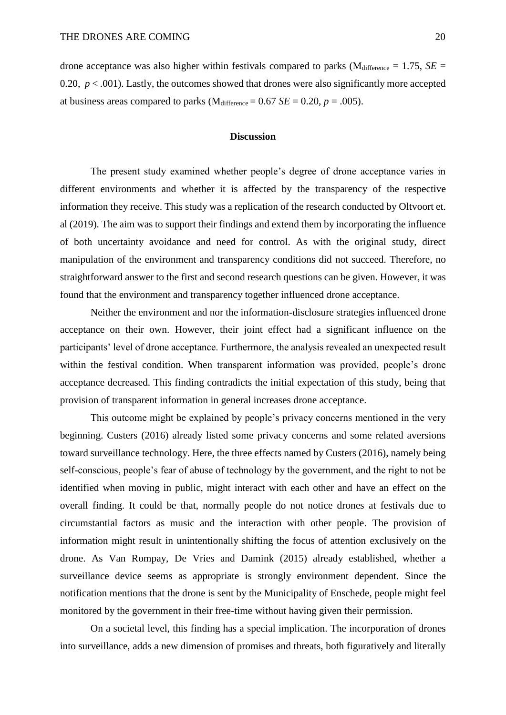drone acceptance was also higher within festivals compared to parks ( $M<sub>difference</sub> = 1.75$ , *SE* = 0.20,  $p < .001$ ). Lastly, the outcomes showed that drones were also significantly more accepted at business areas compared to parks (M<sub>difference</sub> =  $0.67$  *SE* =  $0.20$ , *p* =  $.005$ ).

# **Discussion**

The present study examined whether people's degree of drone acceptance varies in different environments and whether it is affected by the transparency of the respective information they receive. This study was a replication of the research conducted by Oltvoort et. al (2019). The aim was to support their findings and extend them by incorporating the influence of both uncertainty avoidance and need for control. As with the original study, direct manipulation of the environment and transparency conditions did not succeed. Therefore, no straightforward answer to the first and second research questions can be given. However, it was found that the environment and transparency together influenced drone acceptance.

Neither the environment and nor the information-disclosure strategies influenced drone acceptance on their own. However, their joint effect had a significant influence on the participants' level of drone acceptance. Furthermore, the analysis revealed an unexpected result within the festival condition. When transparent information was provided, people's drone acceptance decreased. This finding contradicts the initial expectation of this study, being that provision of transparent information in general increases drone acceptance.

This outcome might be explained by people's privacy concerns mentioned in the very beginning. Custers (2016) already listed some privacy concerns and some related aversions toward surveillance technology. Here, the three effects named by Custers (2016), namely being self-conscious, people's fear of abuse of technology by the government, and the right to not be identified when moving in public, might interact with each other and have an effect on the overall finding. It could be that, normally people do not notice drones at festivals due to circumstantial factors as music and the interaction with other people. The provision of information might result in unintentionally shifting the focus of attention exclusively on the drone. As Van Rompay, De Vries and Damink (2015) already established, whether a surveillance device seems as appropriate is strongly environment dependent. Since the notification mentions that the drone is sent by the Municipality of Enschede, people might feel monitored by the government in their free-time without having given their permission.

On a societal level, this finding has a special implication. The incorporation of drones into surveillance, adds a new dimension of promises and threats, both figuratively and literally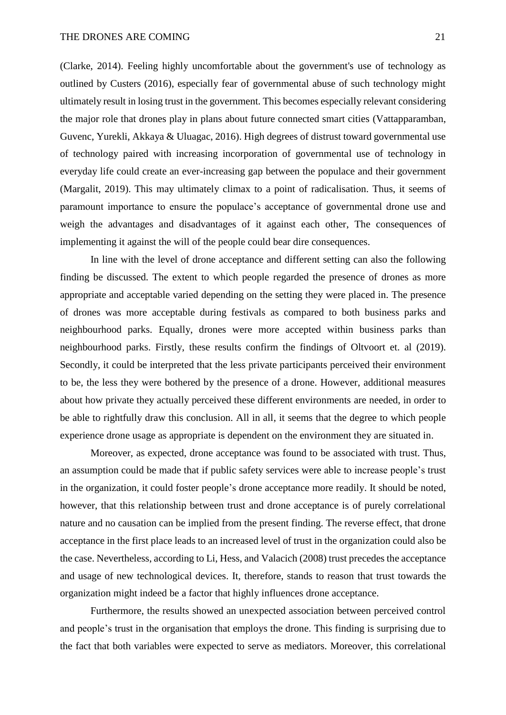(Clarke, 2014). Feeling highly uncomfortable about the government's use of technology as outlined by Custers (2016), especially fear of governmental abuse of such technology might ultimately result in losing trust in the government. This becomes especially relevant considering the major role that drones play in plans about future connected smart cities (Vattapparamban, Guvenc, Yurekli, Akkaya & Uluagac, 2016). High degrees of distrust toward governmental use of technology paired with increasing incorporation of governmental use of technology in everyday life could create an ever-increasing gap between the populace and their government (Margalit, 2019). This may ultimately climax to a point of radicalisation. Thus, it seems of paramount importance to ensure the populace's acceptance of governmental drone use and weigh the advantages and disadvantages of it against each other, The consequences of implementing it against the will of the people could bear dire consequences.

In line with the level of drone acceptance and different setting can also the following finding be discussed. The extent to which people regarded the presence of drones as more appropriate and acceptable varied depending on the setting they were placed in. The presence of drones was more acceptable during festivals as compared to both business parks and neighbourhood parks. Equally, drones were more accepted within business parks than neighbourhood parks. Firstly, these results confirm the findings of Oltvoort et. al (2019). Secondly, it could be interpreted that the less private participants perceived their environment to be, the less they were bothered by the presence of a drone. However, additional measures about how private they actually perceived these different environments are needed, in order to be able to rightfully draw this conclusion. All in all, it seems that the degree to which people experience drone usage as appropriate is dependent on the environment they are situated in.

Moreover, as expected, drone acceptance was found to be associated with trust. Thus, an assumption could be made that if public safety services were able to increase people's trust in the organization, it could foster people's drone acceptance more readily. It should be noted, however, that this relationship between trust and drone acceptance is of purely correlational nature and no causation can be implied from the present finding. The reverse effect, that drone acceptance in the first place leads to an increased level of trust in the organization could also be the case. Nevertheless, according to Li, Hess, and Valacich (2008) trust precedes the acceptance and usage of new technological devices. It, therefore, stands to reason that trust towards the organization might indeed be a factor that highly influences drone acceptance.

Furthermore, the results showed an unexpected association between perceived control and people's trust in the organisation that employs the drone. This finding is surprising due to the fact that both variables were expected to serve as mediators. Moreover, this correlational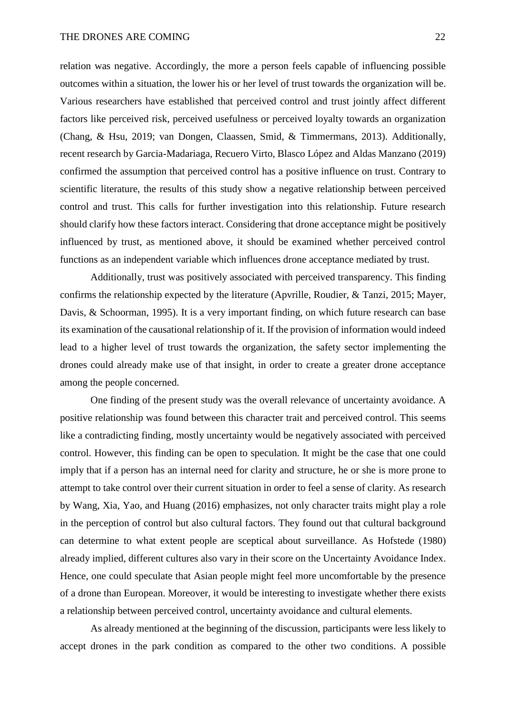relation was negative. Accordingly, the more a person feels capable of influencing possible outcomes within a situation, the lower his or her level of trust towards the organization will be. Various researchers have established that perceived control and trust jointly affect different factors like perceived risk, perceived usefulness or perceived loyalty towards an organization (Chang, & Hsu, 2019; van Dongen, Claassen, Smid, & Timmermans, 2013). Additionally, recent research by Garcia-Madariaga, Recuero Virto, Blasco López and Aldas Manzano (2019) confirmed the assumption that perceived control has a positive influence on trust. Contrary to scientific literature, the results of this study show a negative relationship between perceived control and trust. This calls for further investigation into this relationship. Future research should clarify how these factors interact. Considering that drone acceptance might be positively influenced by trust, as mentioned above, it should be examined whether perceived control functions as an independent variable which influences drone acceptance mediated by trust.

Additionally, trust was positively associated with perceived transparency. This finding confirms the relationship expected by the literature (Apvrille, Roudier, & Tanzi, 2015; Mayer, Davis, & Schoorman, 1995). It is a very important finding, on which future research can base its examination of the causational relationship of it. If the provision of information would indeed lead to a higher level of trust towards the organization, the safety sector implementing the drones could already make use of that insight, in order to create a greater drone acceptance among the people concerned.

One finding of the present study was the overall relevance of uncertainty avoidance. A positive relationship was found between this character trait and perceived control. This seems like a contradicting finding, mostly uncertainty would be negatively associated with perceived control. However, this finding can be open to speculation. It might be the case that one could imply that if a person has an internal need for clarity and structure, he or she is more prone to attempt to take control over their current situation in order to feel a sense of clarity. As research by Wang, Xia, Yao, and Huang (2016) emphasizes, not only character traits might play a role in the perception of control but also cultural factors. They found out that cultural background can determine to what extent people are sceptical about surveillance. As Hofstede (1980) already implied, different cultures also vary in their score on the Uncertainty Avoidance Index. Hence, one could speculate that Asian people might feel more uncomfortable by the presence of a drone than European. Moreover, it would be interesting to investigate whether there exists a relationship between perceived control, uncertainty avoidance and cultural elements.

As already mentioned at the beginning of the discussion, participants were less likely to accept drones in the park condition as compared to the other two conditions. A possible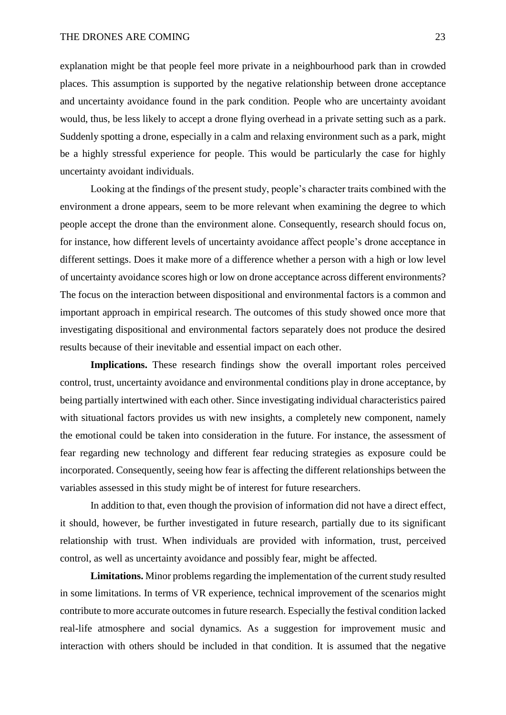#### THE DRONES ARE COMING 23

explanation might be that people feel more private in a neighbourhood park than in crowded places. This assumption is supported by the negative relationship between drone acceptance and uncertainty avoidance found in the park condition. People who are uncertainty avoidant would, thus, be less likely to accept a drone flying overhead in a private setting such as a park. Suddenly spotting a drone, especially in a calm and relaxing environment such as a park, might be a highly stressful experience for people. This would be particularly the case for highly uncertainty avoidant individuals.

Looking at the findings of the present study, people's character traits combined with the environment a drone appears, seem to be more relevant when examining the degree to which people accept the drone than the environment alone. Consequently, research should focus on, for instance, how different levels of uncertainty avoidance affect people's drone acceptance in different settings. Does it make more of a difference whether a person with a high or low level of uncertainty avoidance scores high or low on drone acceptance across different environments? The focus on the interaction between dispositional and environmental factors is a common and important approach in empirical research. The outcomes of this study showed once more that investigating dispositional and environmental factors separately does not produce the desired results because of their inevitable and essential impact on each other.

**Implications.** These research findings show the overall important roles perceived control, trust, uncertainty avoidance and environmental conditions play in drone acceptance, by being partially intertwined with each other. Since investigating individual characteristics paired with situational factors provides us with new insights, a completely new component, namely the emotional could be taken into consideration in the future. For instance, the assessment of fear regarding new technology and different fear reducing strategies as exposure could be incorporated. Consequently, seeing how fear is affecting the different relationships between the variables assessed in this study might be of interest for future researchers.

In addition to that, even though the provision of information did not have a direct effect, it should, however, be further investigated in future research, partially due to its significant relationship with trust. When individuals are provided with information, trust, perceived control, as well as uncertainty avoidance and possibly fear, might be affected.

**Limitations.** Minor problems regarding the implementation of the current study resulted in some limitations. In terms of VR experience, technical improvement of the scenarios might contribute to more accurate outcomes in future research. Especially the festival condition lacked real-life atmosphere and social dynamics. As a suggestion for improvement music and interaction with others should be included in that condition. It is assumed that the negative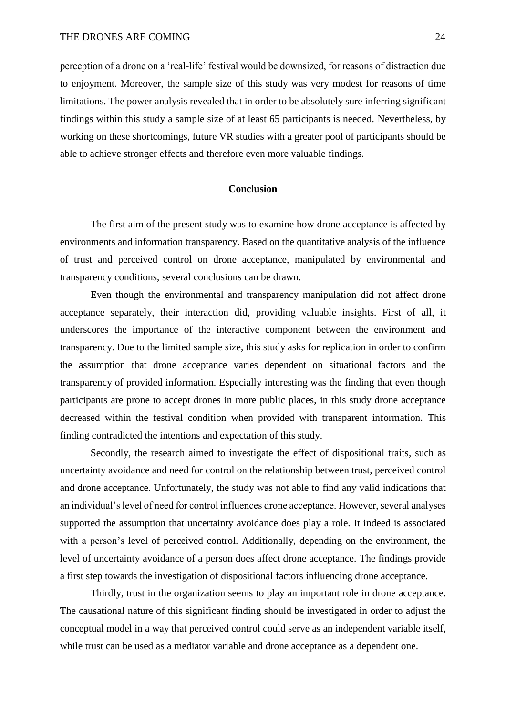perception of a drone on a 'real-life' festival would be downsized, for reasons of distraction due to enjoyment. Moreover, the sample size of this study was very modest for reasons of time limitations. The power analysis revealed that in order to be absolutely sure inferring significant findings within this study a sample size of at least 65 participants is needed. Nevertheless, by working on these shortcomings, future VR studies with a greater pool of participants should be able to achieve stronger effects and therefore even more valuable findings.

#### **Conclusion**

The first aim of the present study was to examine how drone acceptance is affected by environments and information transparency. Based on the quantitative analysis of the influence of trust and perceived control on drone acceptance, manipulated by environmental and transparency conditions, several conclusions can be drawn.

Even though the environmental and transparency manipulation did not affect drone acceptance separately, their interaction did, providing valuable insights. First of all, it underscores the importance of the interactive component between the environment and transparency. Due to the limited sample size, this study asks for replication in order to confirm the assumption that drone acceptance varies dependent on situational factors and the transparency of provided information. Especially interesting was the finding that even though participants are prone to accept drones in more public places, in this study drone acceptance decreased within the festival condition when provided with transparent information. This finding contradicted the intentions and expectation of this study.

Secondly, the research aimed to investigate the effect of dispositional traits, such as uncertainty avoidance and need for control on the relationship between trust, perceived control and drone acceptance. Unfortunately, the study was not able to find any valid indications that an individual's level of need for control influences drone acceptance. However, several analyses supported the assumption that uncertainty avoidance does play a role. It indeed is associated with a person's level of perceived control. Additionally, depending on the environment, the level of uncertainty avoidance of a person does affect drone acceptance. The findings provide a first step towards the investigation of dispositional factors influencing drone acceptance.

Thirdly, trust in the organization seems to play an important role in drone acceptance. The causational nature of this significant finding should be investigated in order to adjust the conceptual model in a way that perceived control could serve as an independent variable itself, while trust can be used as a mediator variable and drone acceptance as a dependent one.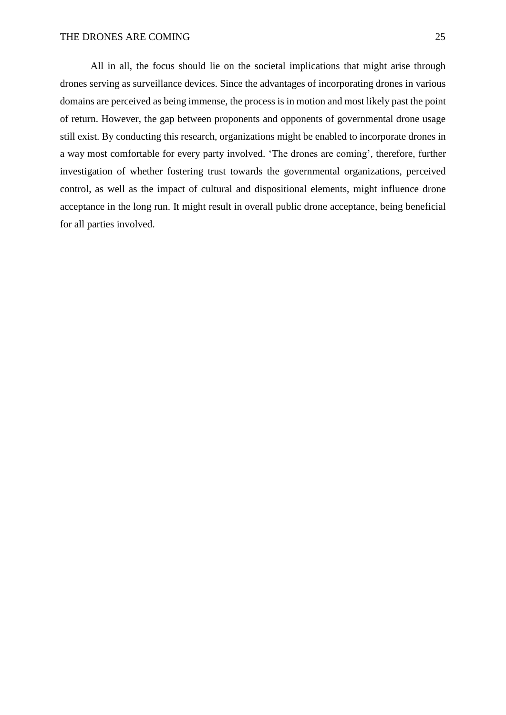All in all, the focus should lie on the societal implications that might arise through drones serving as surveillance devices. Since the advantages of incorporating drones in various domains are perceived as being immense, the process is in motion and most likely past the point of return. However, the gap between proponents and opponents of governmental drone usage still exist. By conducting this research, organizations might be enabled to incorporate drones in a way most comfortable for every party involved. 'The drones are coming', therefore, further investigation of whether fostering trust towards the governmental organizations, perceived control, as well as the impact of cultural and dispositional elements, might influence drone acceptance in the long run. It might result in overall public drone acceptance, being beneficial for all parties involved.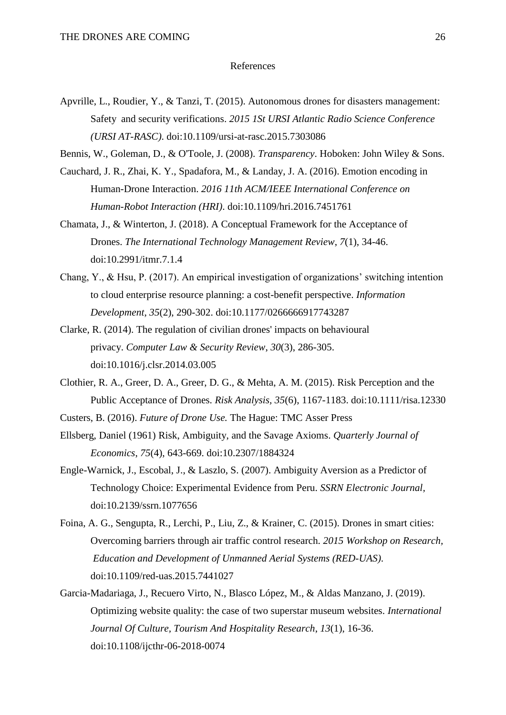#### References

Apvrille, L., Roudier, Y., & Tanzi, T. (2015). Autonomous drones for disasters management: Safety and security verifications. *2015 1St URSI Atlantic Radio Science Conference (URSI AT-RASC)*. doi:10.1109/ursi-at-rasc.2015.7303086

Bennis, W., Goleman, D., & O'Toole, J. (2008). *Transparency*. Hoboken: John Wiley & Sons.

- Cauchard, J. R., Zhai, K. Y., Spadafora, M., & Landay, J. A. (2016). Emotion encoding in Human-Drone Interaction. *2016 11th ACM/IEEE International Conference on Human-Robot Interaction (HRI)*. doi:10.1109/hri.2016.7451761
- Chamata, J., & Winterton, J. (2018). A Conceptual Framework for the Acceptance of Drones. *The International Technology Management Review*, *7*(1), 34-46. doi:10.2991/itmr.7.1.4
- Chang, Y., & Hsu, P. (2017). An empirical investigation of organizations' switching intention to cloud enterprise resource planning: a cost-benefit perspective. *Information Development*, *35*(2), 290-302. doi:10.1177/0266666917743287
- Clarke, R. (2014). The regulation of civilian drones' impacts on behavioural privacy. *Computer Law & Security Review*, *30*(3), 286-305. doi:10.1016/j.clsr.2014.03.005
- Clothier, R. A., Greer, D. A., Greer, D. G., & Mehta, A. M. (2015). Risk Perception and the Public Acceptance of Drones. *Risk Analysis, 35*(6), 1167-1183. doi:10.1111/risa.12330
- Custers, B. (2016). *Future of Drone Use.* The Hague: TMC Asser Press
- Ellsberg, Daniel (1961) Risk, Ambiguity, and the Savage Axioms. *Quarterly Journal of Economics*, *75*(4), 643-669. doi:10.2307/1884324
- Engle-Warnick, J., Escobal, J., & Laszlo, S. (2007). Ambiguity Aversion as a Predictor of Technology Choice: Experimental Evidence from Peru. *SSRN Electronic Journal,* doi:10.2139/ssrn.1077656
- Foina, A. G., Sengupta, R., Lerchi, P., Liu, Z., & Krainer, C. (2015). Drones in smart cities: Overcoming barriers through air traffic control research. *2015 Workshop on Research, Education and Development of Unmanned Aerial Systems (RED-UAS)*. doi:10.1109/red-uas.2015.7441027
- Garcia-Madariaga, J., Recuero Virto, N., Blasco López, M., & Aldas Manzano, J. (2019). Optimizing website quality: the case of two superstar museum websites. *International Journal Of Culture, Tourism And Hospitality Research*, *13*(1), 16-36. doi:10.1108/ijcthr-06-2018-0074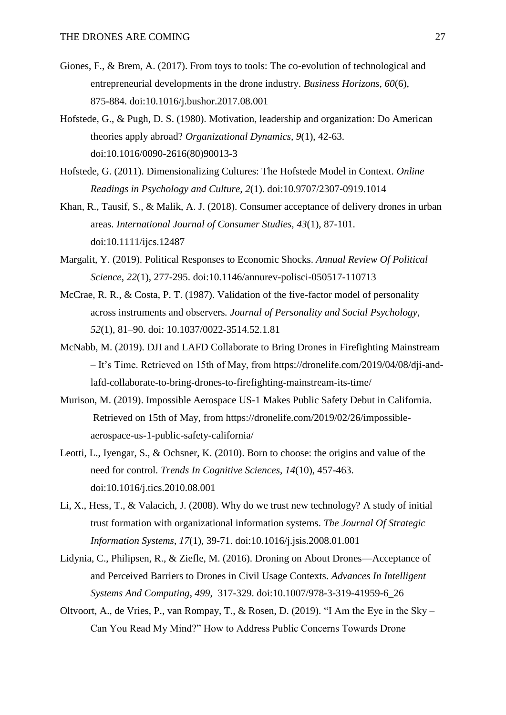- Giones, F., & Brem, A. (2017). From toys to tools: The co-evolution of technological and entrepreneurial developments in the drone industry. *Business Horizons, 60*(6), 875-884. doi:10.1016/j.bushor.2017.08.001
- Hofstede, G., & Pugh, D. S. (1980). Motivation, leadership and organization: Do American theories apply abroad? *Organizational Dynamics, 9*(1), 42-63. doi[:10.1016/0090-2616\(80\)90013-3](https://doi.org/10.1016/0090-2616(80)90013-3)
- Hofstede, G. (2011). Dimensionalizing Cultures: The Hofstede Model in Context. *Online Readings in Psychology and Culture, 2*(1). doi:10.9707/2307-0919.1014
- Khan, R., Tausif, S., & Malik, A. J. (2018). Consumer acceptance of delivery drones in urban areas. *International Journal of Consumer Studies, 43*(1), 87-101. doi:10.1111/ijcs.12487
- Margalit, Y. (2019). Political Responses to Economic Shocks. *Annual Review Of Political Science*, *22*(1), 277-295. doi:10.1146/annurev-polisci-050517-110713
- McCrae, R. R., & Costa, P. T. (1987). Validation of the five-factor model of personality across instruments and observers*. Journal of Personality and Social Psychology*, *52*(1), 81–90. doi: 10.1037/0022-3514.52.1.81
- McNabb, M. (2019). DJI and LAFD Collaborate to Bring Drones in Firefighting Mainstream – It's Time. Retrieved on 15th of May, from https://dronelife.com/2019/04/08/dji-andlafd-collaborate-to-bring-drones-to-firefighting-mainstream-its-time/
- Murison, M. (2019). Impossible Aerospace US-1 Makes Public Safety Debut in California. Retrieved on 15th of May, from https://dronelife.com/2019/02/26/impossibleaerospace-us-1-public-safety-california/
- Leotti, L., Iyengar, S., & Ochsner, K. (2010). Born to choose: the origins and value of the need for control. *Trends In Cognitive Sciences*, *14*(10), 457-463. doi:10.1016/j.tics.2010.08.001
- Li, X., Hess, T., & Valacich, J. (2008). Why do we trust new technology? A study of initial trust formation with organizational information systems. *The Journal Of Strategic Information Systems*, *17*(1), 39-71. doi:10.1016/j.jsis.2008.01.001
- Lidynia, C., Philipsen, R., & Ziefle, M. (2016). Droning on About Drones—Acceptance of and Perceived Barriers to Drones in Civil Usage Contexts. *Advances In Intelligent Systems And Computing*, *499*, 317-329. doi:10.1007/978-3-319-41959-6\_26
- Oltvoort, A., de Vries, P., van Rompay, T., & Rosen, D. (2019). "I Am the Eye in the Sky Can You Read My Mind?" How to Address Public Concerns Towards Drone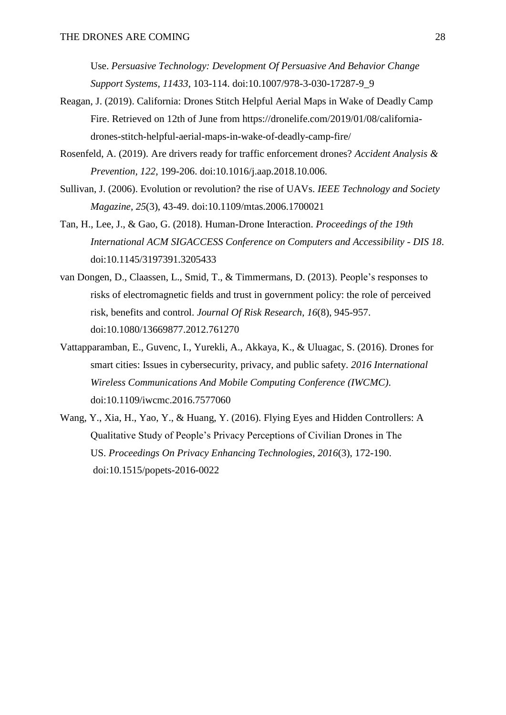Use. *Persuasive Technology: Development Of Persuasive And Behavior Change Support Systems, 11433*, 103-114. doi:10.1007/978-3-030-17287-9\_9

- Reagan, J. (2019). California: Drones Stitch Helpful Aerial Maps in Wake of Deadly Camp Fire. Retrieved on 12th of June from https://dronelife.com/2019/01/08/californiadrones-stitch-helpful-aerial-maps-in-wake-of-deadly-camp-fire/
- Rosenfeld, A. (2019). Are drivers ready for traffic enforcement drones? *Accident Analysis & Prevention, 122,* 199-206. doi:10.1016/j.aap.2018.10.006.
- Sullivan, J. (2006). Evolution or revolution? the rise of UAVs. *IEEE Technology and Society Magazine, 25*(3), 43-49. doi:10.1109/mtas.2006.1700021
- Tan, H., Lee, J., & Gao, G. (2018). Human-Drone Interaction. *Proceedings of the 19th International ACM SIGACCESS Conference on Computers and Accessibility - DIS 18*. doi:10.1145/3197391.3205433
- van Dongen, D., Claassen, L., Smid, T., & Timmermans, D. (2013). People's responses to risks of electromagnetic fields and trust in government policy: the role of perceived risk, benefits and control. *Journal Of Risk Research*, *16*(8), 945-957. doi:10.1080/13669877.2012.761270
- Vattapparamban, E., Guvenc, I., Yurekli, A., Akkaya, K., & Uluagac, S. (2016). Drones for smart cities: Issues in cybersecurity, privacy, and public safety. *2016 International Wireless Communications And Mobile Computing Conference (IWCMC)*. doi:10.1109/iwcmc.2016.7577060
- Wang, Y., Xia, H., Yao, Y., & Huang, Y. (2016). Flying Eyes and Hidden Controllers: A Qualitative Study of People's Privacy Perceptions of Civilian Drones in The US. *Proceedings On Privacy Enhancing Technologies*, *2016*(3), 172-190. doi:10.1515/popets-2016-0022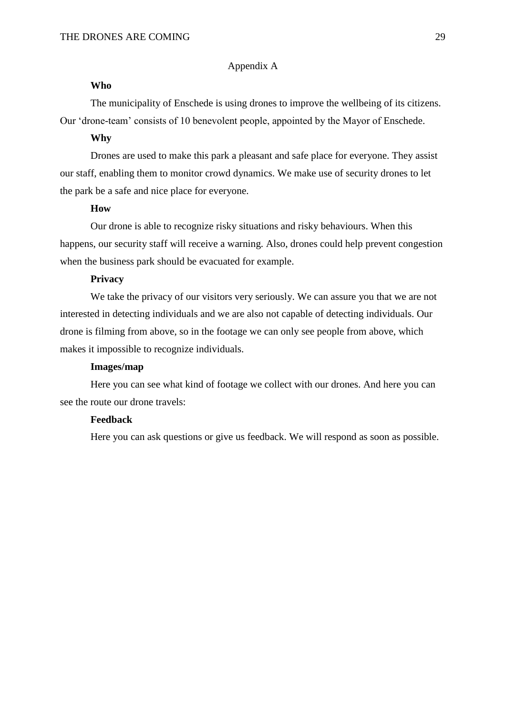## Appendix A

### **Who**

The municipality of Enschede is using drones to improve the wellbeing of its citizens. Our 'drone-team' consists of 10 benevolent people, appointed by the Mayor of Enschede.

## **Why**

Drones are used to make this park a pleasant and safe place for everyone. They assist our staff, enabling them to monitor crowd dynamics. We make use of security drones to let the park be a safe and nice place for everyone.

# **How**

Our drone is able to recognize risky situations and risky behaviours. When this happens, our security staff will receive a warning. Also, drones could help prevent congestion when the business park should be evacuated for example.

### **Privacy**

We take the privacy of our visitors very seriously. We can assure you that we are not interested in detecting individuals and we are also not capable of detecting individuals. Our drone is filming from above, so in the footage we can only see people from above, which makes it impossible to recognize individuals.

#### **Images/map**

Here you can see what kind of footage we collect with our drones. And here you can see the route our drone travels:

# **Feedback**

Here you can ask questions or give us feedback. We will respond as soon as possible.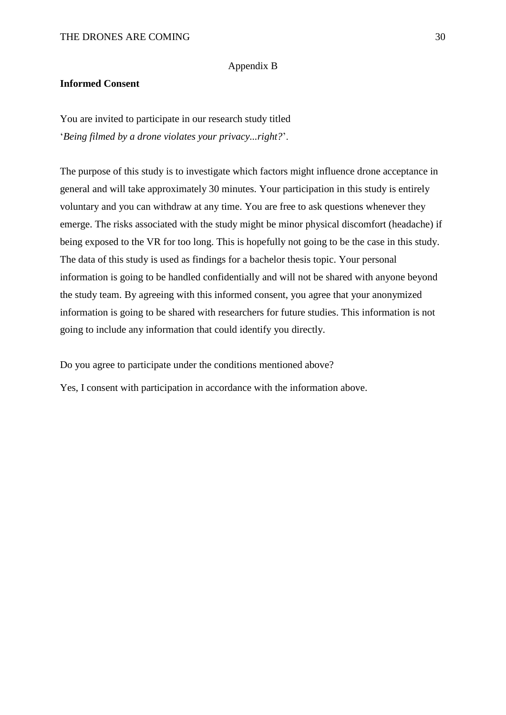#### Appendix B

# **Informed Consent**

You are invited to participate in our research study titled '*Being filmed by a drone violates your privacy...right?*'.

The purpose of this study is to investigate which factors might influence drone acceptance in general and will take approximately 30 minutes. Your participation in this study is entirely voluntary and you can withdraw at any time. You are free to ask questions whenever they emerge. The risks associated with the study might be minor physical discomfort (headache) if being exposed to the VR for too long. This is hopefully not going to be the case in this study. The data of this study is used as findings for a bachelor thesis topic. Your personal information is going to be handled confidentially and will not be shared with anyone beyond the study team. By agreeing with this informed consent, you agree that your anonymized information is going to be shared with researchers for future studies. This information is not going to include any information that could identify you directly.

Do you agree to participate under the conditions mentioned above?

Yes, I consent with participation in accordance with the information above.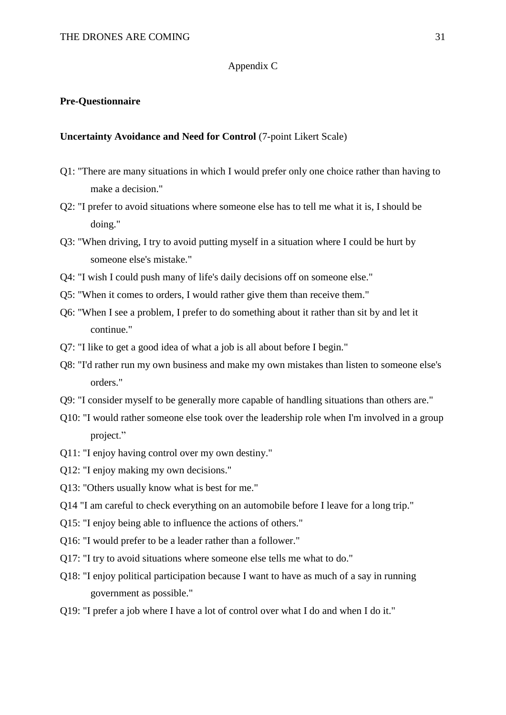## Appendix C

# **Pre-Questionnaire**

# **Uncertainty Avoidance and Need for Control** (7-point Likert Scale)

- Q1: "There are many situations in which I would prefer only one choice rather than having to make a decision."
- Q2: "I prefer to avoid situations where someone else has to tell me what it is, I should be doing."
- Q3: "When driving, I try to avoid putting myself in a situation where I could be hurt by someone else's mistake."
- Q4: "I wish I could push many of life's daily decisions off on someone else."
- Q5: "When it comes to orders, I would rather give them than receive them."
- Q6: "When I see a problem, I prefer to do something about it rather than sit by and let it continue."
- Q7: "I like to get a good idea of what a job is all about before I begin."
- Q8: "I'd rather run my own business and make my own mistakes than listen to someone else's orders."
- Q9: "I consider myself to be generally more capable of handling situations than others are."
- Q10: "I would rather someone else took over the leadership role when I'm involved in a group project."
- Q11: "I enjoy having control over my own destiny."
- Q12: "I enjoy making my own decisions."
- Q13: "Others usually know what is best for me."
- Q14 "I am careful to check everything on an automobile before I leave for a long trip."
- Q15: "I enjoy being able to influence the actions of others."
- Q16: "I would prefer to be a leader rather than a follower."
- Q17: "I try to avoid situations where someone else tells me what to do."
- Q18: "I enjoy political participation because I want to have as much of a say in running government as possible."
- Q19: "I prefer a job where I have a lot of control over what I do and when I do it."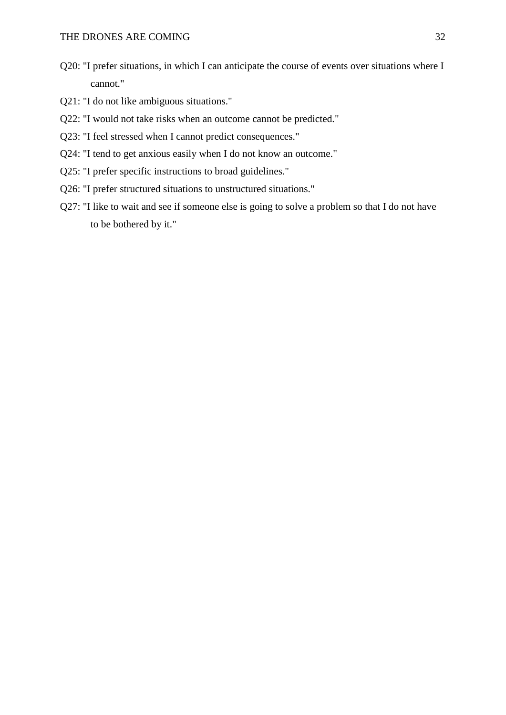- Q20: "I prefer situations, in which I can anticipate the course of events over situations where I cannot."
- Q21: "I do not like ambiguous situations."
- Q22: "I would not take risks when an outcome cannot be predicted."
- Q23: "I feel stressed when I cannot predict consequences."
- Q24: "I tend to get anxious easily when I do not know an outcome."
- Q25: "I prefer specific instructions to broad guidelines."
- Q26: "I prefer structured situations to unstructured situations."
- Q27: "I like to wait and see if someone else is going to solve a problem so that I do not have to be bothered by it."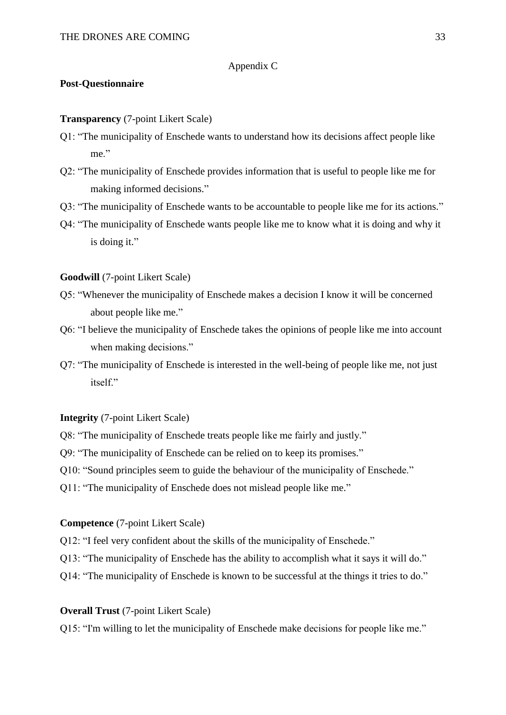## Appendix C

## **Post-Questionnaire**

## **Transparency** (7-point Likert Scale)

- Q1: "The municipality of Enschede wants to understand how its decisions affect people like me."
- Q2: "The municipality of Enschede provides information that is useful to people like me for making informed decisions."
- Q3: "The municipality of Enschede wants to be accountable to people like me for its actions."
- Q4: "The municipality of Enschede wants people like me to know what it is doing and why it is doing it."

## **Goodwill** (7-point Likert Scale)

- Q5: "Whenever the municipality of Enschede makes a decision I know it will be concerned about people like me."
- Q6: "I believe the municipality of Enschede takes the opinions of people like me into account when making decisions."
- Q7: "The municipality of Enschede is interested in the well-being of people like me, not just itself."

#### **Integrity** (7-point Likert Scale)

Q8: "The municipality of Enschede treats people like me fairly and justly."

Q9: "The municipality of Enschede can be relied on to keep its promises."

Q10: "Sound principles seem to guide the behaviour of the municipality of Enschede."

Q11: "The municipality of Enschede does not mislead people like me."

## **Competence** (7-point Likert Scale)

Q12: "I feel very confident about the skills of the municipality of Enschede."

Q13: "The municipality of Enschede has the ability to accomplish what it says it will do."

Q14: "The municipality of Enschede is known to be successful at the things it tries to do."

# **Overall Trust** (7-point Likert Scale)

Q15: "I'm willing to let the municipality of Enschede make decisions for people like me."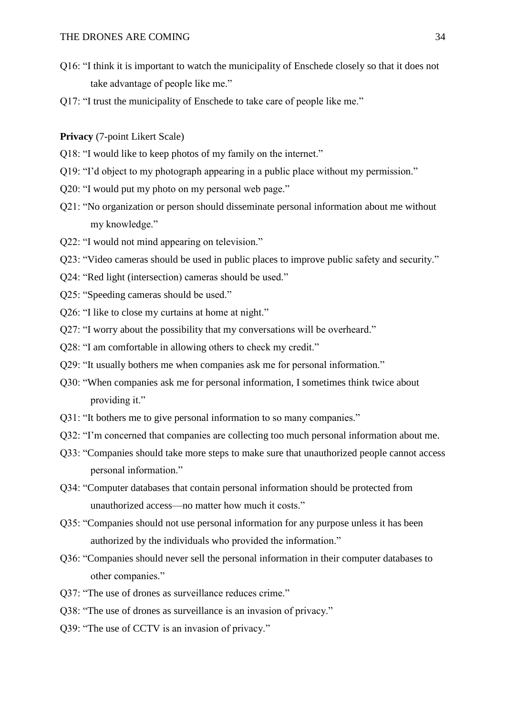- Q16: "I think it is important to watch the municipality of Enschede closely so that it does not take advantage of people like me."
- Q17: "I trust the municipality of Enschede to take care of people like me."

**Privacy** (7-point Likert Scale)

- Q18: "I would like to keep photos of my family on the internet."
- Q19: "I'd object to my photograph appearing in a public place without my permission."
- Q20: "I would put my photo on my personal web page."
- Q21: "No organization or person should disseminate personal information about me without my knowledge."
- Q22: "I would not mind appearing on television."
- Q23: "Video cameras should be used in public places to improve public safety and security."
- Q24: "Red light (intersection) cameras should be used."
- Q25: "Speeding cameras should be used."
- Q26: "I like to close my curtains at home at night."
- Q27: "I worry about the possibility that my conversations will be overheard."
- Q28: "I am comfortable in allowing others to check my credit."
- Q29: "It usually bothers me when companies ask me for personal information."
- Q30: "When companies ask me for personal information, I sometimes think twice about providing it."
- Q31: "It bothers me to give personal information to so many companies."
- Q32: "I'm concerned that companies are collecting too much personal information about me.
- Q33: "Companies should take more steps to make sure that unauthorized people cannot access personal information."
- Q34: "Computer databases that contain personal information should be protected from unauthorized access—no matter how much it costs."
- Q35: "Companies should not use personal information for any purpose unless it has been authorized by the individuals who provided the information."
- Q36: "Companies should never sell the personal information in their computer databases to other companies."
- Q37: "The use of drones as surveillance reduces crime."
- Q38: "The use of drones as surveillance is an invasion of privacy."
- Q39: "The use of CCTV is an invasion of privacy."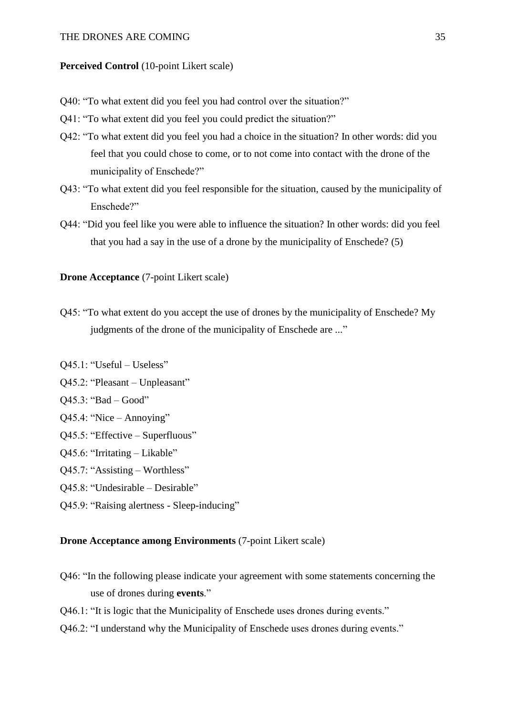#### Perceived Control (10-point Likert scale)

- Q40: "To what extent did you feel you had control over the situation?"
- Q41: "To what extent did you feel you could predict the situation?"
- Q42: "To what extent did you feel you had a choice in the situation? In other words: did you feel that you could chose to come, or to not come into contact with the drone of the municipality of Enschede?"
- Q43: "To what extent did you feel responsible for the situation, caused by the municipality of Enschede?"
- Q44: "Did you feel like you were able to influence the situation? In other words: did you feel that you had a say in the use of a drone by the municipality of Enschede? (5)

### **Drone Acceptance** (7-point Likert scale)

- Q45: "To what extent do you accept the use of drones by the municipality of Enschede? My judgments of the drone of the municipality of Enschede are ..."
- Q45.1: "Useful Useless"
- Q45.2: "Pleasant Unpleasant"
- Q45.3: "Bad Good"
- Q45.4: "Nice Annoying"
- Q45.5: "Effective Superfluous"
- Q45.6: "Irritating Likable"
- Q45.7: "Assisting Worthless"
- Q45.8: "Undesirable Desirable"
- Q45.9: "Raising alertness Sleep-inducing"

# **Drone Acceptance among Environments** (7-point Likert scale)

- Q46: "In the following please indicate your agreement with some statements concerning the use of drones during **events**."
- Q46.1: "It is logic that the Municipality of Enschede uses drones during events."
- Q46.2: "I understand why the Municipality of Enschede uses drones during events."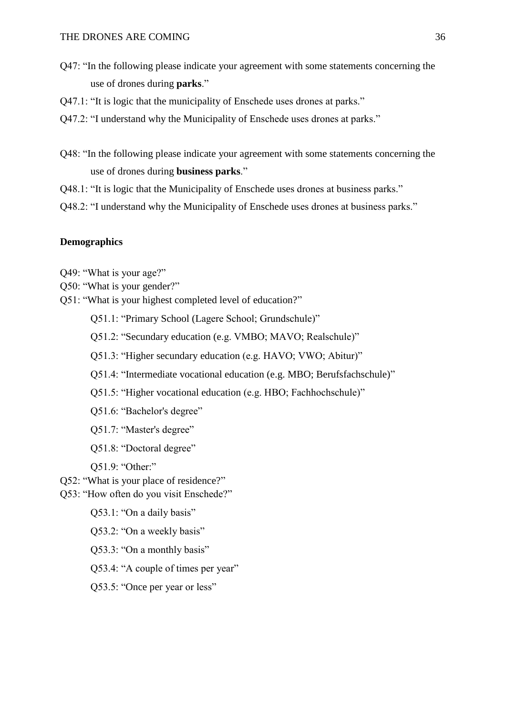- Q47: "In the following please indicate your agreement with some statements concerning the use of drones during **parks**."
- Q47.1: "It is logic that the municipality of Enschede uses drones at parks."
- Q47.2: "I understand why the Municipality of Enschede uses drones at parks."
- Q48: "In the following please indicate your agreement with some statements concerning the use of drones during **business parks**."
- Q48.1: "It is logic that the Municipality of Enschede uses drones at business parks."
- Q48.2: "I understand why the Municipality of Enschede uses drones at business parks."

# **Demographics**

- Q49: "What is your age?"
- Q50: "What is your gender?"
- Q51: "What is your highest completed level of education?"
	- Q51.1: "Primary School (Lagere School; Grundschule)"
	- Q51.2: "Secundary education (e.g. VMBO; MAVO; Realschule)"
	- Q51.3: "Higher secundary education (e.g. HAVO; VWO; Abitur)"
	- Q51.4: "Intermediate vocational education (e.g. MBO; Berufsfachschule)"
	- Q51.5: "Higher vocational education (e.g. HBO; Fachhochschule)"
	- Q51.6: "Bachelor's degree"
	- Q51.7: "Master's degree"
	- Q51.8: "Doctoral degree"
	- Q51.9: "Other:"
- Q52: "What is your place of residence?"
- Q53: "How often do you visit Enschede?"
	- Q53.1: "On a daily basis"
	- Q53.2: "On a weekly basis"
	- Q53.3: "On a monthly basis"
	- Q53.4: "A couple of times per year"
	- Q53.5: "Once per year or less"